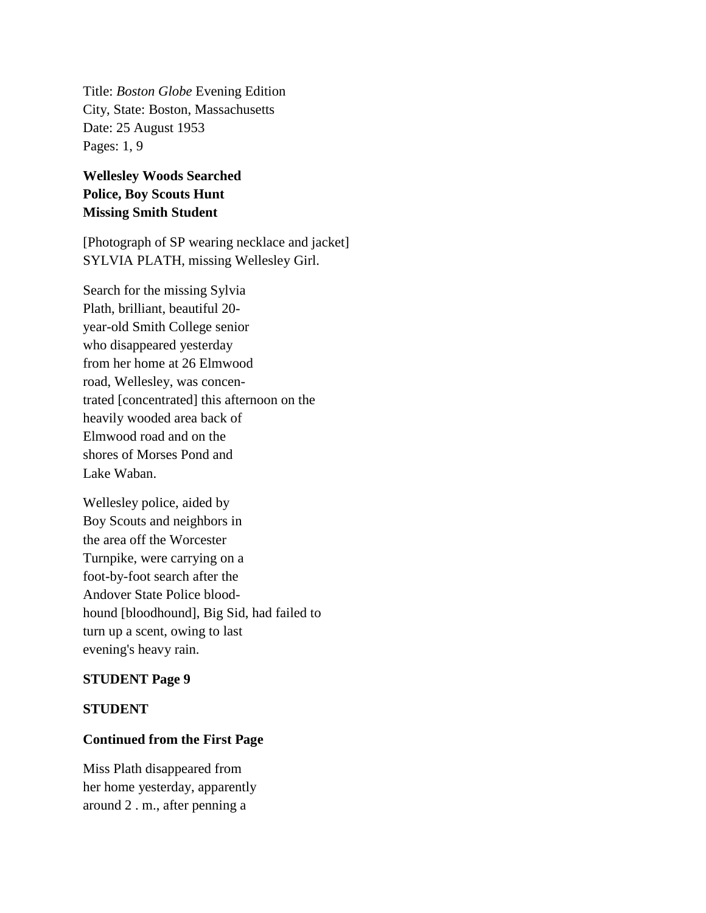Title: *Boston Globe* Evening Edition City, State: Boston, Massachusetts Date: 25 August 1953 Pages: 1, 9

# **Wellesley Woods Searched Police, Boy Scouts Hunt Missing Smith Student**

[Photograph of SP wearing necklace and jacket] SYLVIA PLATH, missing Wellesley Girl.

Search for the missing Sylvia Plath, brilliant, beautiful 20 year-old Smith College senior who disappeared yesterday from her home at 26 Elmwood road, Wellesley, was concentrated [concentrated] this afternoon on the heavily wooded area back of Elmwood road and on the shores of Morses Pond and Lake Waban.

Wellesley police, aided by Boy Scouts and neighbors in the area off the Worcester Turnpike, were carrying on a foot-by-foot search after the Andover State Police bloodhound [bloodhound], Big Sid, had failed to turn up a scent, owing to last evening's heavy rain.

### **STUDENT Page 9**

### **STUDENT**

## **Continued from the First Page**

Miss Plath disappeared from her home yesterday, apparently around 2 . m., after penning a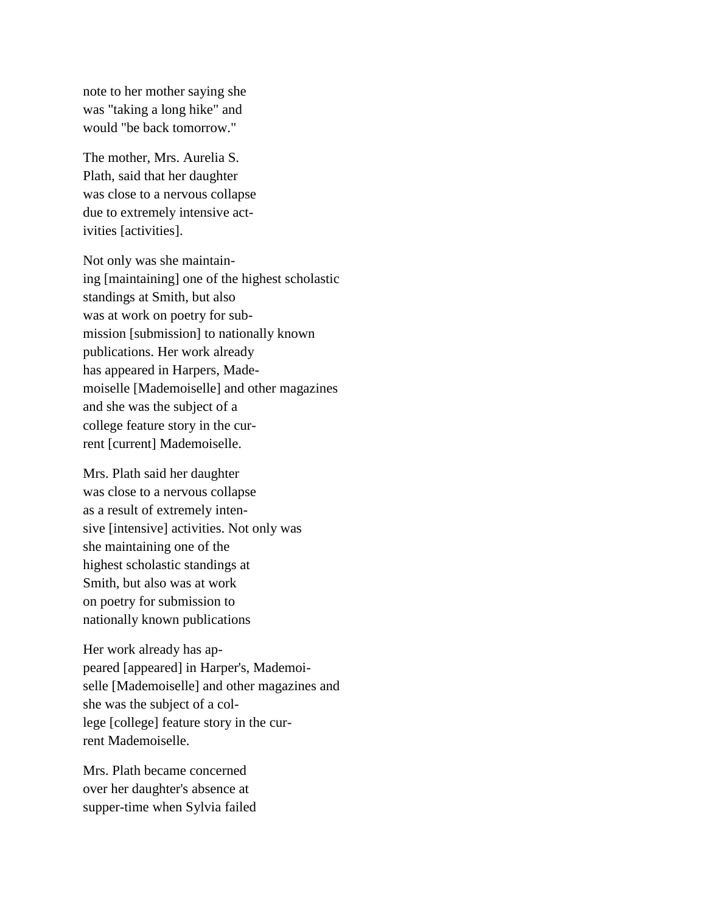note to her mother saying she was "taking a long hike" and would "be back tomorrow."

The mother, Mrs. Aurelia S. Plath, said that her daughter was close to a nervous collapse due to extremely intensive activities [activities].

Not only was she maintaining [maintaining] one of the highest scholastic standings at Smith, but also was at work on poetry for submission [submission] to nationally known publications. Her work already has appeared in Harpers, Mademoiselle [Mademoiselle] and other magazines and she was the subject of a college feature story in the current [current] Mademoiselle.

Mrs. Plath said her daughter was close to a nervous collapse as a result of extremely intensive [intensive] activities. Not only was she maintaining one of the highest scholastic standings at Smith, but also was at work on poetry for submission to nationally known publications

Her work already has appeared [appeared] in Harper's, Mademoiselle [Mademoiselle] and other magazines and she was the subject of a college [college] feature story in the current Mademoiselle.

Mrs. Plath became concerned over her daughter's absence at supper-time when Sylvia failed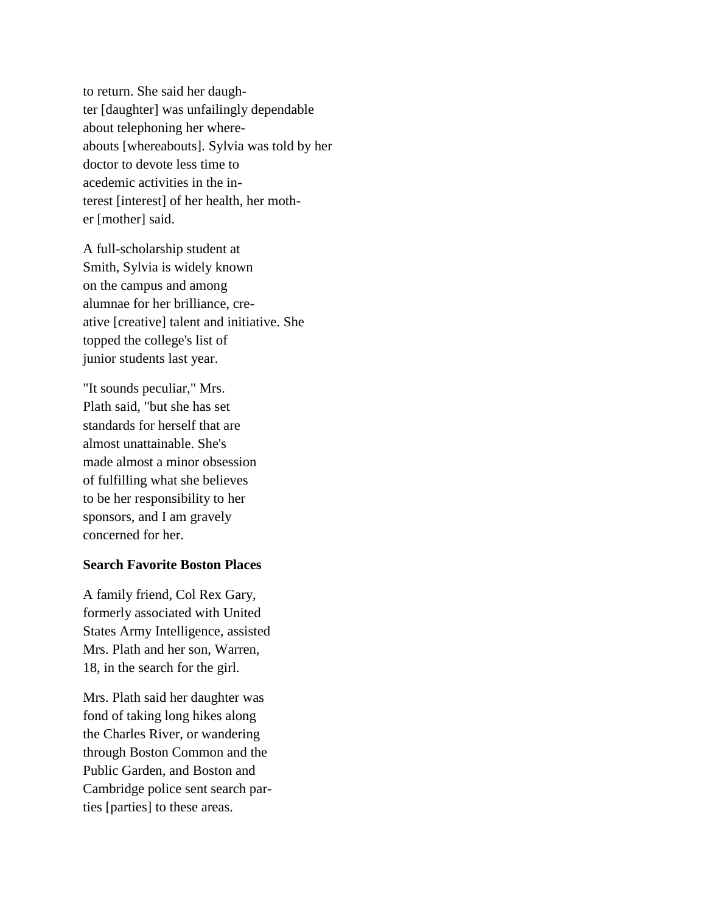to return. She said her daughter [daughter] was unfailingly dependable about telephoning her whereabouts [whereabouts]. Sylvia was told by her doctor to devote less time to acedemic activities in the interest [interest] of her health, her mother [mother] said.

A full-scholarship student at Smith, Sylvia is widely known on the campus and among alumnae for her brilliance, creative [creative] talent and initiative. She topped the college's list of junior students last year.

"It sounds peculiar," Mrs. Plath said, "but she has set standards for herself that are almost unattainable. She's made almost a minor obsession of fulfilling what she believes to be her responsibility to her sponsors, and I am gravely concerned for her.

### **Search Favorite Boston Places**

A family friend, Col Rex Gary, formerly associated with United States Army Intelligence, assisted Mrs. Plath and her son, Warren, 18, in the search for the girl.

Mrs. Plath said her daughter was fond of taking long hikes along the Charles River, or wandering through Boston Common and the Public Garden, and Boston and Cambridge police sent search parties [parties] to these areas.